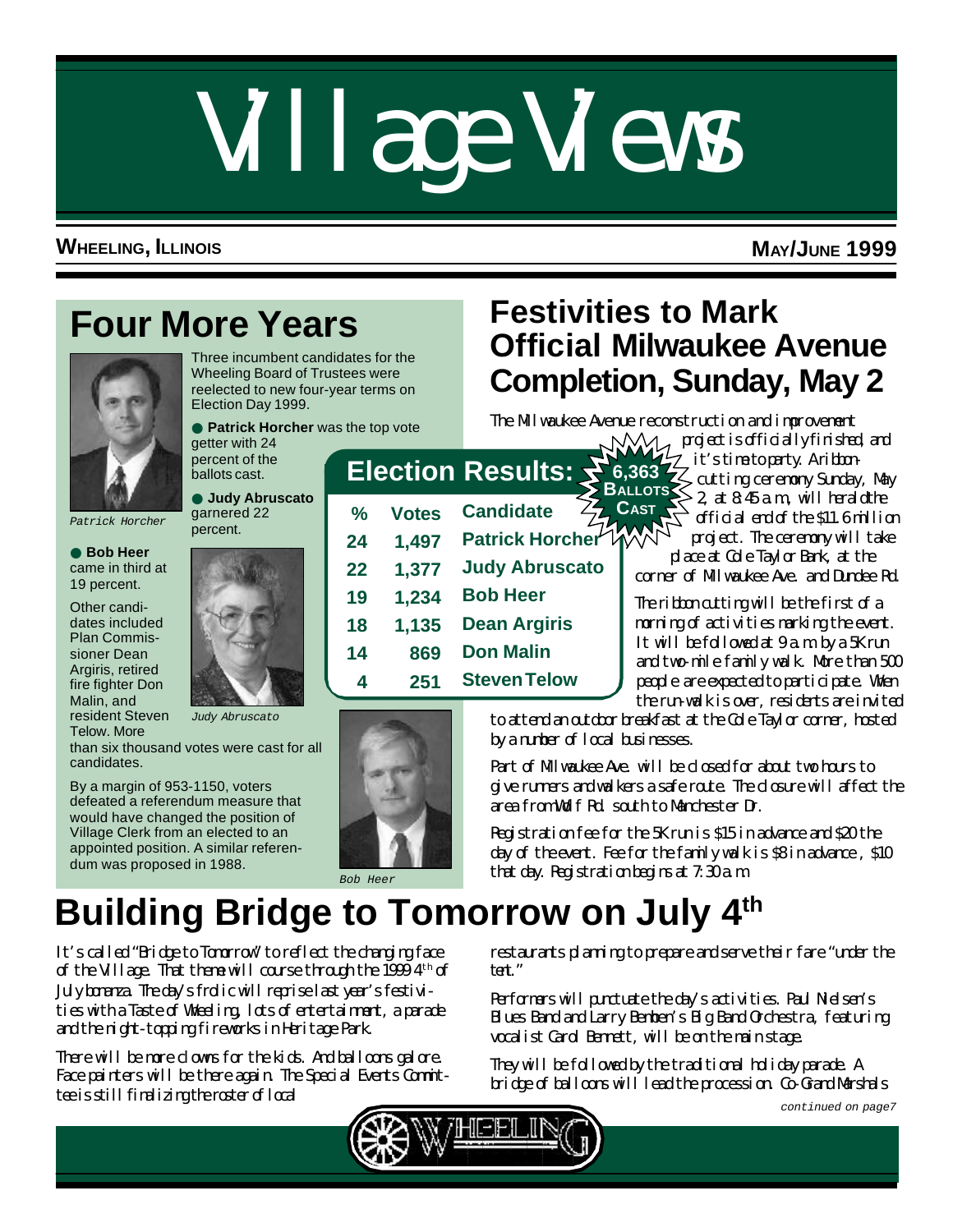# Village Views

### **WHEELING, ILLINOIS MAY/JUNE 1999**

# **Four More Years**



● **Bob Heer** came in third at 19 percent. Other candidates included Plan Commissioner Dean Argiris, retired fire fighter Don Malin, and resident Steven Telow. More

Three incumbent candidates for the Wheeling Board of Trustees were reelected to new four-year terms on Election Day 1999.

● **Patrick Horcher** was the top vote getter with 24

# **Festivities to Mark Official Milwaukee Avenue Completion, Sunday, May 2**

The Milwaukee Avenue reconstruction and improvement

● **Judy Abruscato** garnered 22 percent.

percent of the ballots cast.



*Judy Abruscato*

than six thousand votes were cast for all candidates.

By a margin of 953-1150, voters defeated a referendum measure that would have changed the position of Village Clerk from an elected to an appointed position. A similar referendum was proposed in 1988.



# **Election Results: 6,363**

| ℅                  | <b>Votes</b> | <b>Candidate</b>      | <b>CAST</b>  |
|--------------------|--------------|-----------------------|--------------|
| 24                 | 1,497        | Patrick Horcher       |              |
| 22                 | 1,377        | <b>Judy Abruscato</b> | $\alpha$     |
| 19                 | 1,234        | <b>Bob Heer</b>       | The          |
| 18                 | 1,135        | <b>Dean Argiris</b>   | $\mathbf{m}$ |
| 14                 | 869          | <b>Don Malin</b>      | It '<br>and  |
| $\overline{\bf 4}$ | 251          | <b>Steven Telow</b>   | $\bf{e}$     |

**With project is officially finished, and** it's time to party. A ribboncutting ceremony Sunday, May  $B$ <sub>ALLOTS</sub> $\leq 2$ , at  $8.45$  a.m., will herald the official end of the \$11.6 million project. The ceremony will take place at Cole Taylor Bank, at the

corner of Milwaukee Ave. and Dundee Rd.

The ribbon cutting will be the first of a morning of activities marking the event. It will be followed at 9 a.m. by a 5K run and two-mile family walk. More than 500 people are expected to participate. When the run-walk is over, residents are invited

*Bob Heer*

to attend an outdoor breakfast at the Cole Taylor corner, hosted by a number of local businesses.

Part of Milwaukee Ave. will be closed for about two hours to give runners and walkers a safe route. The closure will affect the area from Wolf Rd. south to Manchester Dr.

Registration fee for the 5K run is \$15 in advance and \$20 the day of the event. Fee for the family walk is \$8 in advance , \$10 that day. Registration begins at 7:30 a.m.

# **Building Bridge to Tomorrow on July 4th**

It's called "Bridge to Tomorrow" to reflect the changing face of the Village. That there will course through the  $19994<sup>th</sup>$  of July bonanza. The day's frolic will reprise last year's festivities with a Taste of Wheeling, lots of entertainment, a parade and the night-topping fireworks in Heritage Park.

There will be more clowns for the kids. And balloons galore. Face painters will be there again. The Special Events Committee is still finalizing the roster of local

restaurants planning to prepare and serve their fare "under the tent."

Performers will punctuate the day's activities. Paul Nielsen's Blues Band and Larry Bemben's Big Band Orchestra, featuring vocalist Carol Bennett, will be on the main stage.

They will be followed by the traditional holiday parade. A bridge of balloons will lead the procession. Co-Grand Marshals



*continued on page7*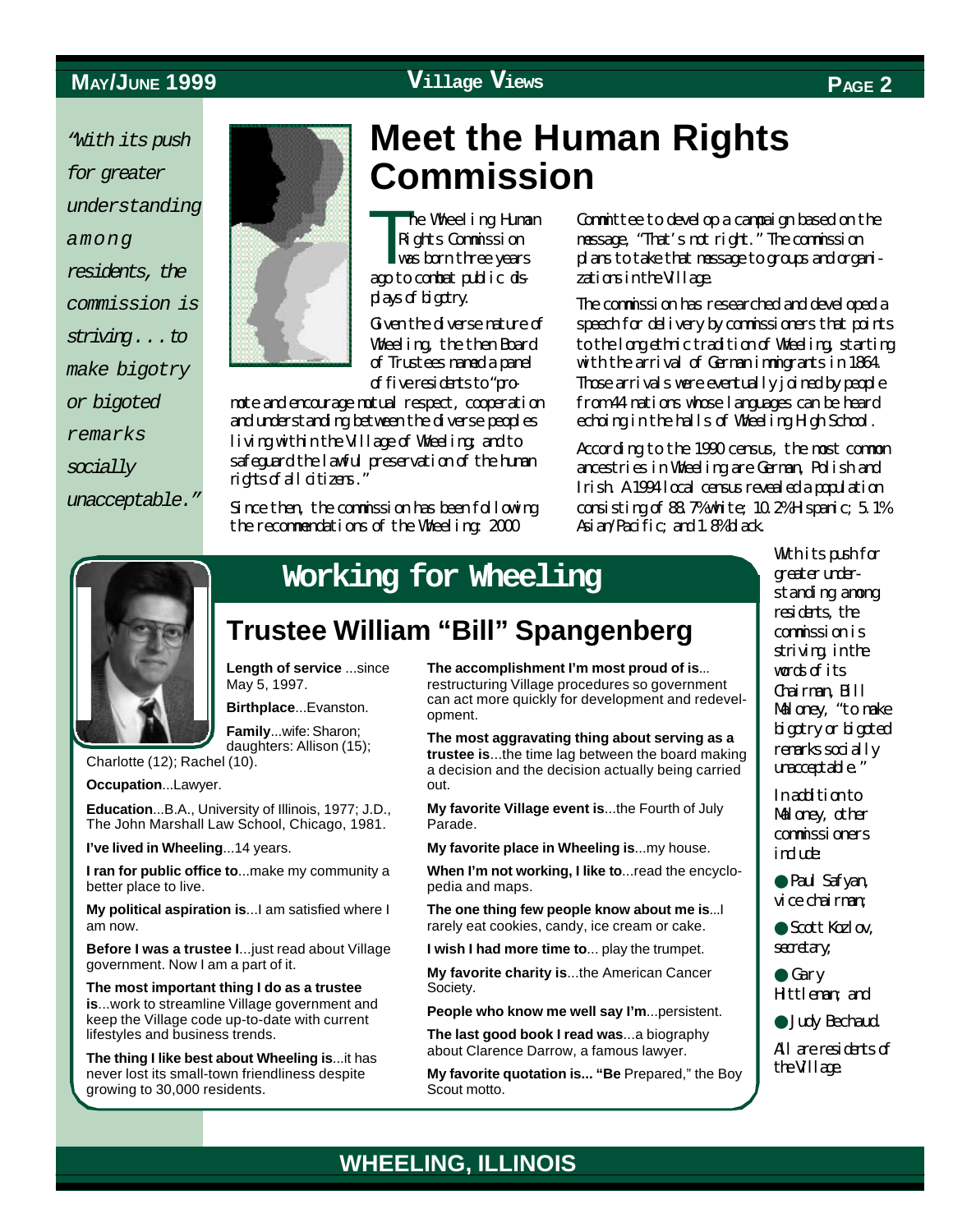*"With its push for greater understanding among residents, the commission is striving . . . to make bigotry or bigoted remarks socially unacceptable."*



# **Meet the Human Rights Commission**

**The Manufacturer he Wheeling Human** Rights Commission was born three years ago to combat public displays of bigotry.

Given the diverse nature of Wheeling, the then Board of Trustees named a panel of five residents to "pro-

mote and encourage mutual respect, cooperation and understanding between the diverse peoples living within the Village of Wheeling; and to safeguard the lawful preservation of the human rights of all citizens."

Since then, the commission has been following the recommendations of the Wheeling: 2000

Committee to develop a campaign based on the message, "That's not right." The commission plans to take that message to groups and organizations in the Village.

The commission has researched and developed a speech for delivery by commissioners that points to the long ethnic tradition of Wheeling, starting with the arrival of German immigrants in 1864. Those arrivals were eventually joined by people from 44 nations whose languages can be heard echoing in the halls of Wheeling High School.

According to the 1990 census, the most common ancestries in Wheeling are German, Polish and Irish. A 1994 local census revealed a population consisting of 88.7% white; 10.2% Hispanic; 5.1% Asian/Pacific; and 1.8% black.



# **Working for Wheeling**

## **Trustee William "Bill" Spangenberg**

**WHEELING, ILLINOIS**

**Length of service** ...since May 5, 1997.

**Birthplace**...Evanston. **Family**...wife: Sharon;

daughters: Allison (15);

Charlotte (12); Rachel (10).

**Occupation**...Lawyer.

**Education**...B.A., University of Illinois, 1977; J.D., The John Marshall Law School, Chicago, 1981.

**I've lived in Wheeling**...14 years.

**I ran for public office to**...make my community a better place to live.

**My political aspiration is**...I am satisfied where I am now.

**Before I was a trustee I**...just read about Village government. Now I am a part of it.

**The most important thing I do as a trustee is**...work to streamline Village government and keep the Village code up-to-date with current lifestyles and business trends.

**The thing I like best about Wheeling is**...it has never lost its small-town friendliness despite growing to 30,000 residents.

**The accomplishment I'm most proud of is**... restructuring Village procedures so government can act more quickly for development and redevelopment.

**The most aggravating thing about serving as a trustee is**...the time lag between the board making a decision and the decision actually being carried out.

**My favorite Village event is**...the Fourth of July Parade.

**My favorite place in Wheeling is**...my house.

**When I'm not working, I like to**...read the encyclopedia and maps.

**The one thing few people know about me is**...I rarely eat cookies, candy, ice cream or cake.

**I wish I had more time to**... play the trumpet.

**My favorite charity is**...the American Cancer Society.

**People who know me well say I'm**...persistent.

**The last good book I read was**...a biography about Clarence Darrow, a famous lawyer.

**My favorite quotation is... "Be** Prepared," the Boy Scout motto.

With its push for greater understanding among residents, the commission is striving in the words of its Chairman, Bill Maloney, "to make bigotry or bigoted remarks socially unacceptable."

Inaddition to Maloney, other commissioners indure

● Paul Safyan, vice chairman;

● Scott Kozlov, secretary;

- Gary Hittleman; and
- Judy Bechaud.

All are residents of the Village.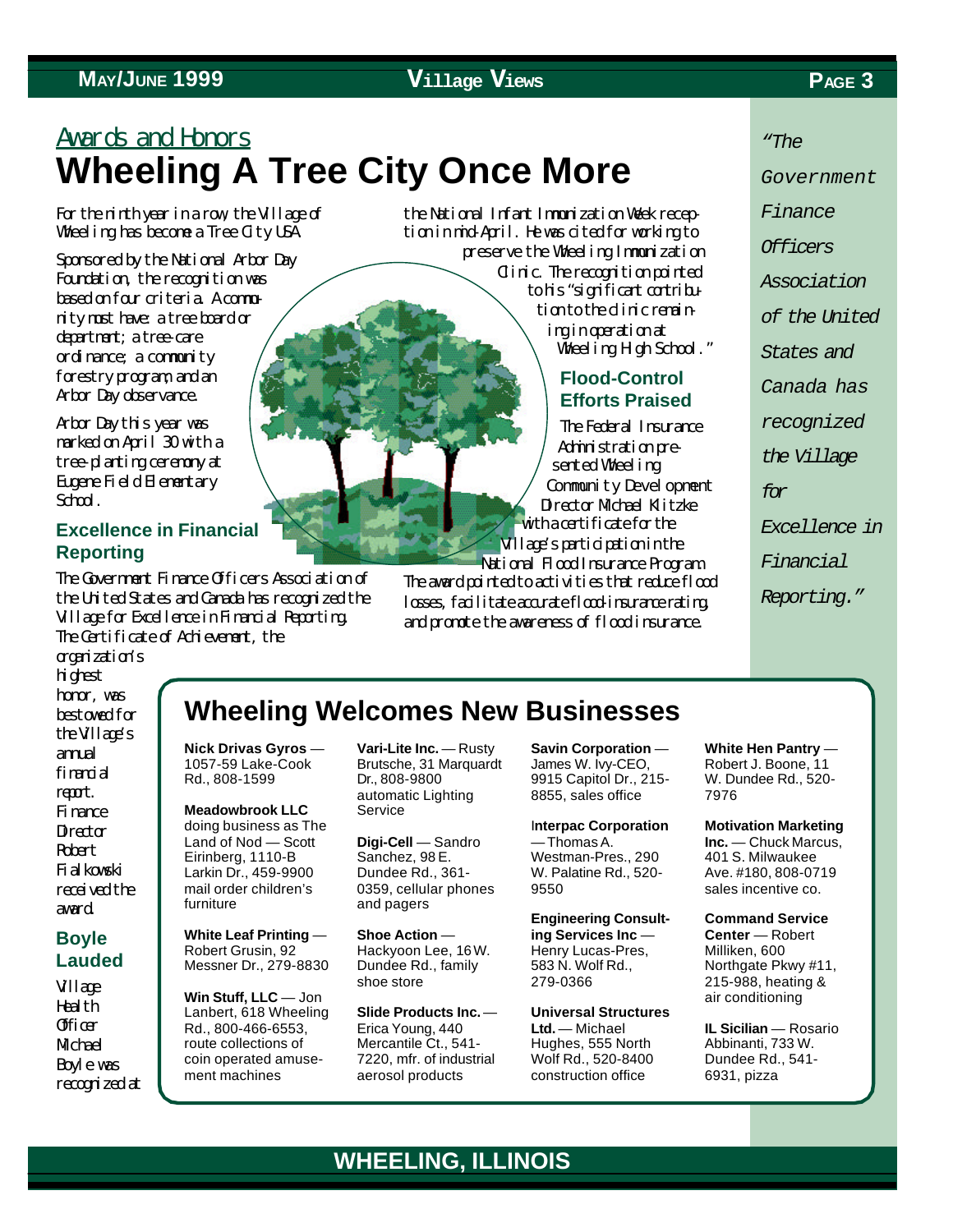# Awards and Honors **Wheeling A Tree City Once More**

For the ninth year in a row, the Village of Wheeling has become a Tree City USA.

Sponsored by the National Arbor Day Foundation, the recognition was based on four criteria. A community must have: a tree board or department; a tree-care ordinance; a community forestry program; and an Arbor Day observance.

Arbor Day this year was marked on April 30 with a tree-planting ceremony at Eugene Field Elementary School.

#### **Excellence in Financial Reporting**

The Government Finance Officers Association of the United States and Canada has recognized the Village for Excellence in Financial Reporting. The Certificate of Achievement, the

the National Infant Immunization Week reception in mid-April. He was cited for working to preserve the Wheeling Immunization Clinic. The recognition pointed to his "significant contribution to the dinic remaining in operation at Wheeling High School."

#### **Flood-Control Efforts Praised**

The Federal Insurance Administration presented Wheeling Community Development Director Mobel Klitzke with a certificate for the Village's participation in the National Flood Insurance Program.

The award pointed to activities that reduce flood losses, facilitate accurate flood-insurance rating, and promote the awareness of flood insurance.

*"The*

*Government*

*Finance*

*Officers*

*Association*

*of the United*

*States and*

*Canada has*

*recognized*

*the Village*

*for*

*Excellence in*

*Financial*

*Reporting."*

organization's highest honor, was bestowed for the Village's annal financial report. Finance **Director** Robert Fialkowski received the award.

#### **Boyle Lauded**

Village **Health** Officer **M**<sub>chael</sub> Boyle was recognized at

## **Wheeling Welcomes New Businesses**

**Nick Drivas Gyros** — 1057-59 Lake-Cook Rd., 808-1599

**Meadowbrook LLC** doing business as The Land of Nod — Scott Eirinberg, 1110-B Larkin Dr., 459-9900 mail order children's furniture

**White Leaf Printing** — Robert Grusin, 92 Messner Dr., 279-8830

**Win Stuff, LLC** — Jon Lanbert, 618 Wheeling Rd., 800-466-6553, route collections of coin operated amusement machines

**Vari-Lite Inc.** — Rusty Brutsche, 31 Marquardt Dr., 808-9800 automatic Lighting Service

**Digi-Cell** — Sandro Sanchez, 98 E. Dundee Rd., 361- 0359, cellular phones and pagers

**Shoe Action** — Hackyoon Lee, 16 W. Dundee Rd., family shoe store

**Slide Products Inc.** — Erica Young, 440 Mercantile Ct., 541- 7220, mfr. of industrial aerosol products

**Savin Corporation** — James W. Ivy-CEO, 9915 Capitol Dr., 215- 8855, sales office

I**nterpac Corporation** — Thomas A. Westman-Pres., 290 W. Palatine Rd., 520- 9550

**Engineering Consulting Services Inc** — Henry Lucas-Pres, 583 N. Wolf Rd., 279-0366

**Universal Structures Ltd.** — Michael Hughes, 555 North Wolf Rd., 520-8400 construction office

**White Hen Pantry** — Robert J. Boone, 11 W. Dundee Rd., 520- 7976

**Motivation Marketing Inc.** — Chuck Marcus, 401 S. Milwaukee Ave. #180, 808-0719 sales incentive co.

**Command Service Center** — Robert Milliken, 600 Northgate Pkwy #11, 215-988, heating & air conditioning

**IL Sicilian** — Rosario Abbinanti, 733 W. Dundee Rd., 541- 6931, pizza

## **WHEELING, ILLINOIS**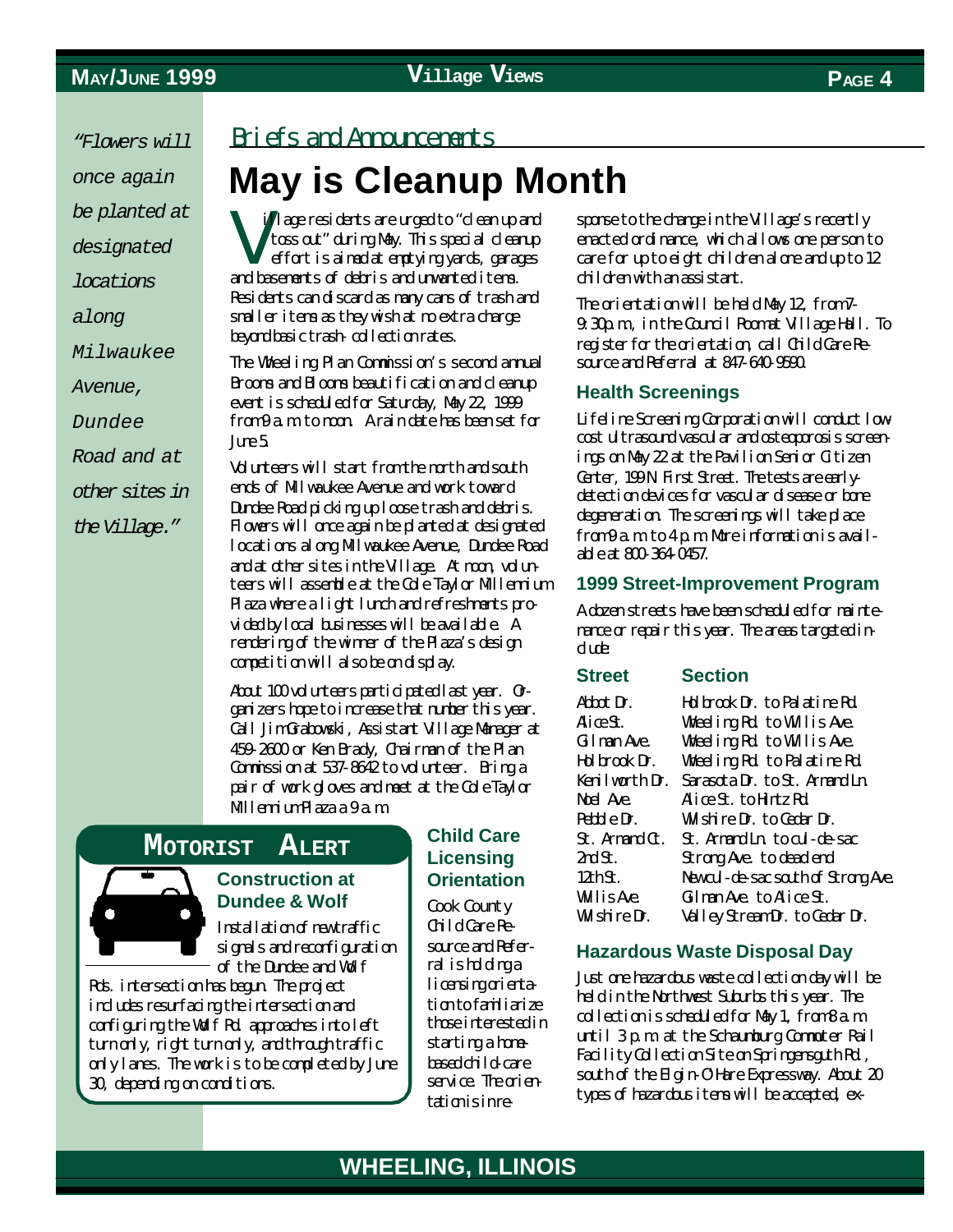*"Flowers will once again be planted at designated locations along Milwaukee Avenue, Dundee Road and at other sites in the Village."*

#### Briefs and Announcements

# **May is Cleanup Month**

V illage residents are urged to "clean up and toss out" during May. This special cleanup effort is aimed at emptying yards, garages and basements of debris and unwanted items. Residents can discard as many cans of trash and smaller items as they wish at no extra charge beyond basic trash- collection rates.

The Wheeling Plan Commission's second annual Brooms and Blooms beautification and cleanup event is scheduled for Saturday, May 22, 1999 from 9 a.m. to noon. A rain date has been set for  $J<sub>mp5</sub>$ 

Volunteers will start from the north and south ends of Milwaukee Avenue and work toward Dundee Road picking up loose trash and debris. Flowers will once again be planted at designated locations along Milwaukee Avenue, Dundee Road and at other sites in the Village. At noon, volunteers will assemble at the Cole Taylor Millennium Plaza where a light lunch and refreshments provided by local businesses will be available. A rendering of the winner of the Plaza's design competition will also be on display.

About 100 volunteers participated last year. Organizers hope to increase that number this year. Call Jim Grabowski, Assistant Village Manager at 459-2600 or Ken Brady, Chairman of the Plan Commission at 537-8642 to volunteer. Bring a pair of work gloves and meet at the Cole Taylor Mllenium Plaza a 9 a.m.

#### **MOTORIST ALERT**



#### **Construction at Dundee & Wolf**

Installation of new traffic signals and reconfiguration of the Dundee and Wolf

Rds. intersection has begun. The project includes resurfacing the intersection and configuring the Wolf Rd. approaches into left turn only, right turn only, and through traffic only lanes. The work is to be completed by June 30, depending on conditions.

#### **Child Care Licensing Orientation**

Cook County Child Care Resource and Referral ishddinga licensing orientation to familiarize those interested in starting a homebased child-care service. The orientation is in response to the change in the Village's recently enacted ordinance, which allows one person to care for up to eight children alone and up to 12 children with an assistant.

The orientation will be held May 12, from 7-9:30p.m., in the Council Room at Village Hall. To register for the orientation call Child Care Resource and Referral at 847-640-9590.

#### **Health Screenings**

Lifeline Screening Corporation will conduct lowcost ultrasound vascular and osteoporosis screenings on May 22 at the Pavilion Senior Citizen Center, 199N First Street. The tests are earlydetection devices for vascular disease or bone degeneration. The screenings will take place from 9 a.m. to 4 p.m. More information is available at 800-364-0457.

#### **1999 Street-Improvement Program**

A dozen streets have been scheduled for maintenance or repair this year. The areas targeted include:

#### **Street Section**

| Abbot Dr.      | Holbrook Dr. to Palatine Rd.      |
|----------------|-----------------------------------|
| AliæSt.        | Wheeling Rd to Willis Ave.        |
| Gilman Ave.    | Wheeling Rd to Willis Ave.        |
| Hol brook Dr.  | Wheeling Rd to Palatine Rd        |
| Kenilworth Dr. | Sarasota Dr. to St. Amard In      |
| Noel Ave.      | Alice St. to Hintz Rd             |
| Pebble Dr.     | Wilshire Dr. to Cedar Dr.         |
| St. Ammrd Ct.  | St. Amend Into al-de-sec          |
| 2ndSt.         | Strong Ave. to dead end           |
| 12thSt.        | Newall-de-secsatth of Strang Ave. |
| WilisAxe       | Gilman Ave to Alice St.           |
| Wlshire Dr.    | Valley StreamDr. to Cedar Dr.     |
|                |                                   |

#### **Hazardous Waste Disposal Day**

Just one hazardous waste collection day will be held in the Northwest Suburbs this year. The collection is scheduled for May 1, from 8 a.m. until 3 p.m. at the Schaumburg Commuter Rail Facility Collection Site on Springensguth Rd., south of the Elgin-O'Hare Expressway. About 20 types of hazardous items will be accepted, ex-

### **WHEELING, ILLINOIS**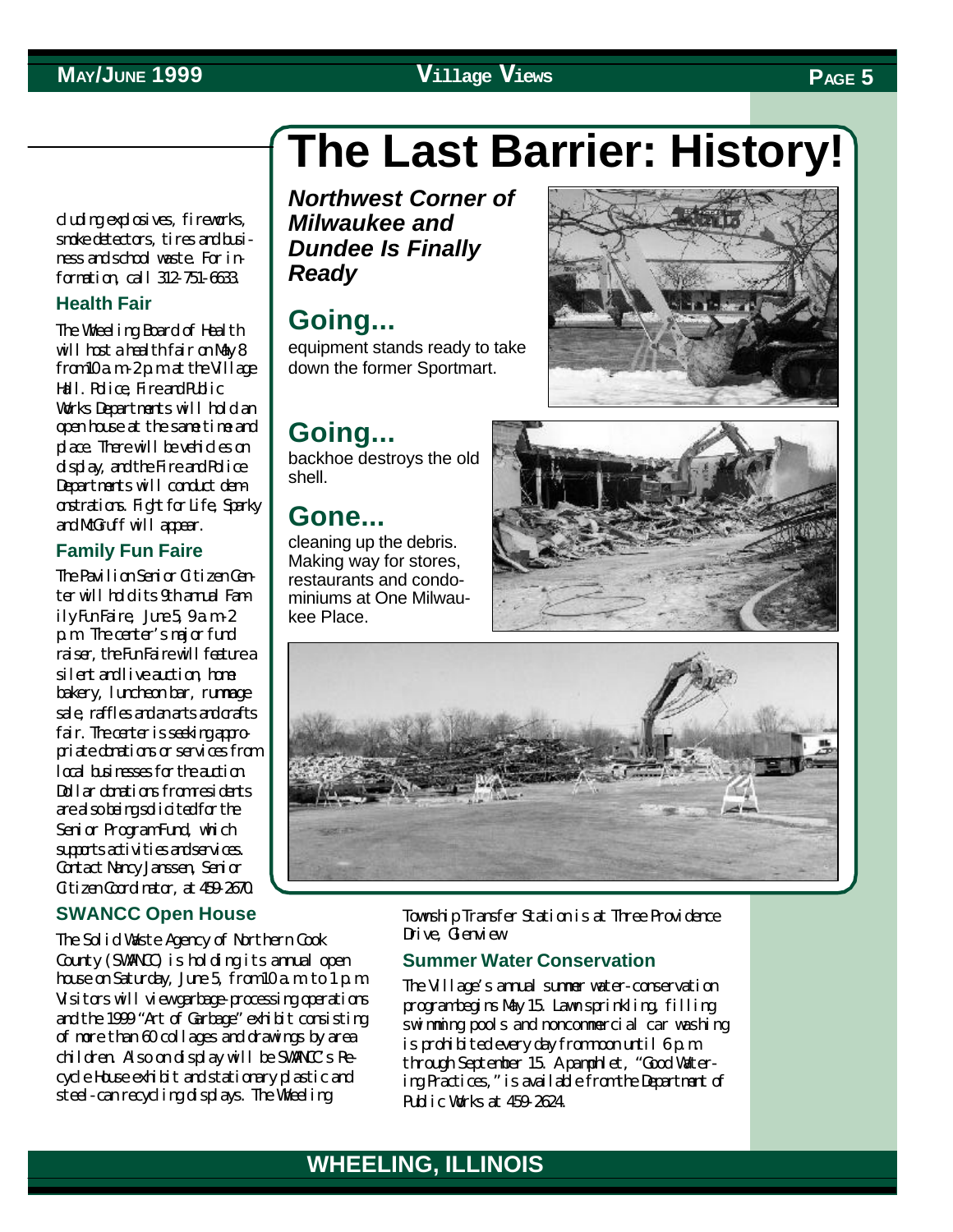# **The Last Barrier: History!**

cluding explosives, fireworks, smoke detectors, tires and business and school waste. For information, call 312-751-6633.

#### **Health Fair**

The Wheeling Board of Health will host a health fair on May 8  $from 10a m-2p m at the Willage$ Hall. Police, Fire and Public Works Departments will hold an open house at the same time and place. There will be vehicles on display, and the Fire and Police Departments will conduct demonstrations. Fight for Life, Sparky and McGruff will appear.

#### **Family Fun Faire**

The Pavilion Senior Citizen Center will hold its 9th annal Family Fun Faire,  $J_{\text{I}}$  Fun  $-2$ p.m. The center's major fund raiser, the Fun Faire will feature a silent and live auction, home bakery, luncheon bar, rummage sale, raffles and anarts and crafts fair. The center is seeking appropriate donations or services from local businesses for the auction. Dollar donations from residents are also being solicited for the Senior Program Fund, which supprisactivities and services. Contact Nancy Janssen, Senior Citizen Coordinator, at 459-2670.

#### **SWANCC Open House**

The Solid Waste Agency of Northern Cook County (SWANCC) is holding its annual open house on Saturday, June 5, from  $10a$  m to  $1p$  m. Visitors will view garbage-processing operations and the 1999 "Art of Garbage" exhibit consisting of more than 60 collages and drawings by area children. Also on display will be SWANCC's Recycle House exhibit and stationary plastic and steel-can recycling displays. The Wheeling

*Northwest Corner of Milwaukee and Dundee Is Finally Ready*

## **Going...**

equipment stands ready to take down the former Sportmart.

## **Going...**

backhoe destroys the old shell.

#### **Gone...**

cleaning up the debris. Making way for stores, restaurants and condominiums at One Milwaukee Place.





Township Transfer Station is at Three Providence Drive, Glenview.

#### **Summer Water Conservation**

The Village's annual summer water-conservation program begins May 15. Lawn sprinkling, filling swimming pools and noncommercial car washing is prohibited every day from noon until 6 p.m. through September 15. A pamphlet, "Good Watering Practices," is available from the Department of Public Works at 459-2624.

# **MAY/JUNE 1999 Village Views PAGE 5**



### **WHEELING, ILLINOIS WHEELING, ILLINOIS**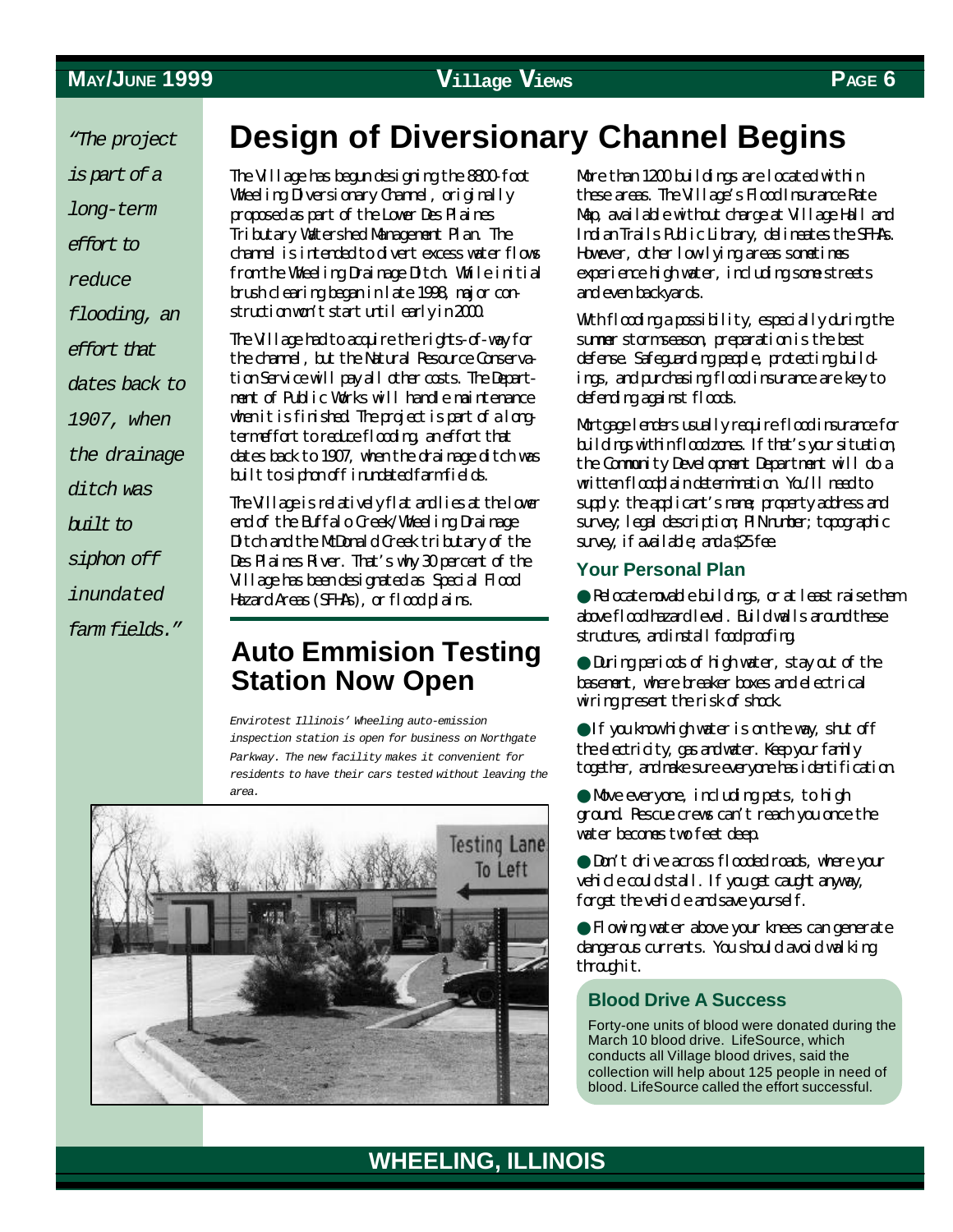*"The project*

*is part of a*

*long-term*

*effort to*

*reduce*

*flooding, an*

*effort that*

*dates back to*

*1907, when*

*the drainage*

*ditch was*

*built to*

*siphon off*

*inundated*

*farm fields."*

# **Design of Diversionary Channel Begins**

The Village has begun designing the 8800-foot Wheeling Diversionary Channel, originally proposed as part of the Lower Des Plaines Tributary Watershed Management Plan. The channel is intended to divert excess water flows from the Wheeling Drainage Ditch. While initial brush clearing began in late 1998, major construction won't start until early in 2000.

The Village had to acquire the rights-of-way for the channel, but the Natural Resource Conservation Service will pay all other costs. The Department of Public Works will handle maintenance when it is finished. The project is part of a longterm effort to reduce flooding, an effort that dates back to 1907, when the drainage ditch was built to siphon off inundated farm fields.

The Village is relatively flat and lies at the lower end of the Buffalo Creek/Wheeling Drainage Ditch and the McDonald Creek tributary of the Des Plaines River. That's why 30 percent of the Village has been designated as Special Flood Hazard Areas (SFHAs), or flood plains.

## **Auto Emmision Testing Station Now Open**

*Envirotest Illinois' Wheeling auto-emission inspection station is open for business on Northgate Parkway. The new facility makes it convenient for residents to have their cars tested without leaving the area.*



More than 1200 buildings are located within these areas. The Village's Flood Insurance Rate Map, available without charge at Village Hall and Indian Trails Public Library, delineates the SFHAs. However, other low-lying areas sometimes experience high water, including some streets and even backyards.

With flooding a possibility, especially during the summer storm season, preparation is the best defense. Safeguarding people, protecting buildings, and purchasing flood insurance are key to defending against floods.

Mortgage lenders usually require flood insurance for buildings within flood zones. If that's your situation, the Community Development Department will do a written floodplain determination. You'll need to supply: the applicant's name; property address and survey; legal description; PIN number; topographic survey, if available; and a \$25 fee.

#### **Your Personal Plan**

● Relocate movable buildings, or at least raise them above flood hazard level. Build walls around these structures, and install food proofing.

● During periods of high water, stay out of the basement, where breaker boxes and electrical wiring present the risk of shock.

● If you know high water is on the way, shut off the electricity, gas and water. Keep your family together, and make sure everyone has identification.

● Move everyone, including pets, to high ground. Rescue crews can't reach you once the water becomes two feet deep.

● Don't drive across flooded roads, where your vehicle could stall. If you get caught anyway, forget the vehicle and save yourself.

● Flowing water above your knees can generate dangerous currents. You should avoid walking through it.

#### **Blood Drive A Success**

Forty-one units of blood were donated during the March 10 blood drive. LifeSource, which conducts all Village blood drives, said the collection will help about 125 people in need of blood. LifeSource called the effort successful.

## **WHEELING, ILLINOIS**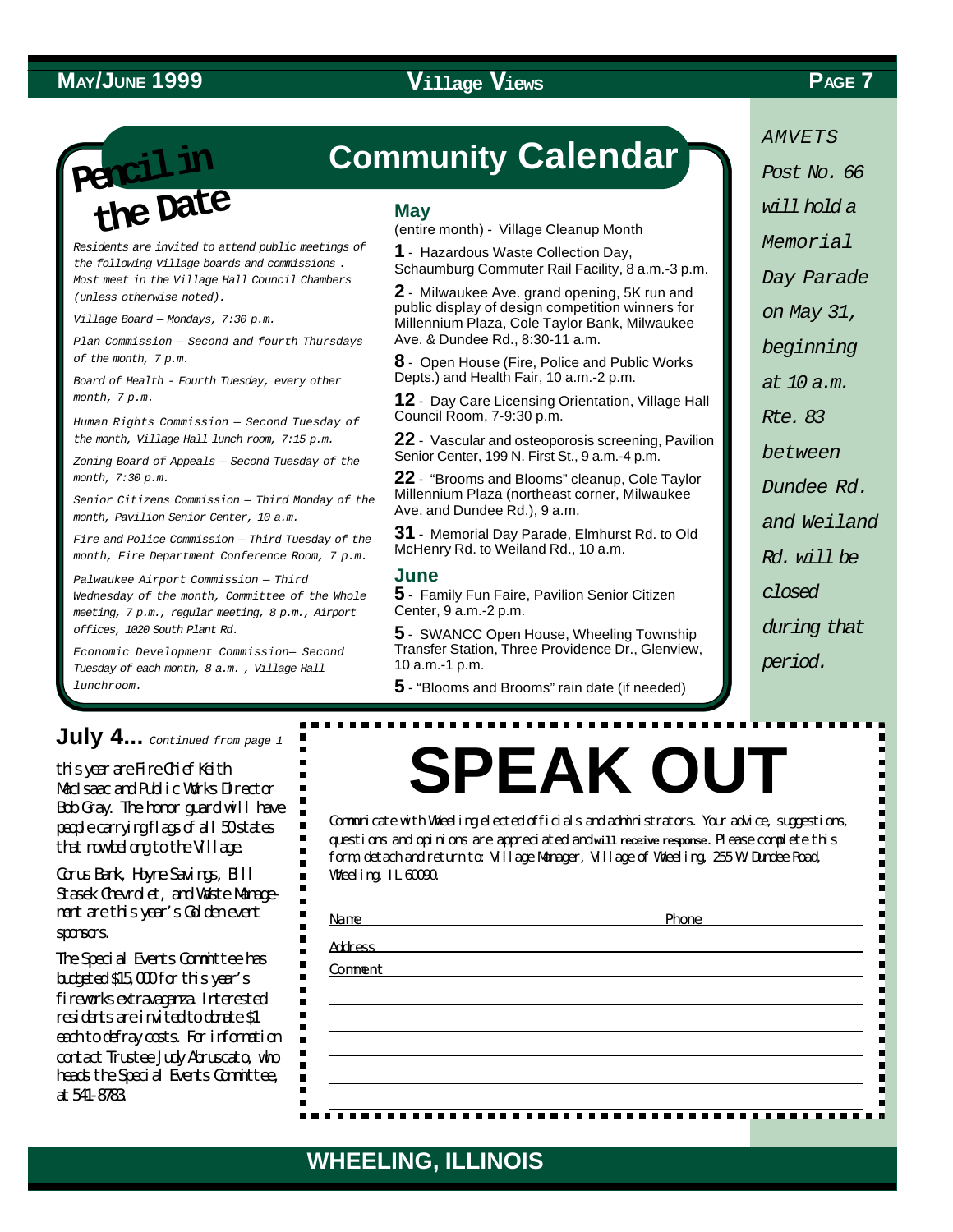**Pencil in the Date**

*Residents are invited to attend public meetings of the following Village boards and commissions . Most meet in the Village Hall Council Chambers (unless otherwise noted).*

*Village Board — Mondays, 7:30 p.m.*

*Plan Commission — Second and fourth Thursdays of the month, 7 p.m.*

*Board of Health - Fourth Tuesday, every other month, 7 p.m.*

*Human Rights Commission — Second Tuesday of the month, Village Hall lunch room, 7:15 p.m.*

*Zoning Board of Appeals — Second Tuesday of the month, 7:30 p.m.*

*Senior Citizens Commission — Third Monday of the month, Pavilion Senior Center, 10 a.m.*

*Fire and Police Commission — Third Tuesday of the month, Fire Department Conference Room, 7 p.m.*

*Palwaukee Airport Commission — Third Wednesday of the month, Committee of the Whole meeting, 7 p.m., regular meeting, 8 p.m., Airport offices, 1020 South Plant Rd.*

*Economic Development Commission— Second Tuesday of each month, 8 a.m. , Village Hall lunchroom.*

# **Community Calendar**

#### **May**

(entire month) - Village Cleanup Month

**1** - Hazardous Waste Collection Day, Schaumburg Commuter Rail Facility, 8 a.m.-3 p.m.

**2** - Milwaukee Ave. grand opening, 5K run and public display of design competition winners for Millennium Plaza, Cole Taylor Bank, Milwaukee Ave. & Dundee Rd., 8:30-11 a.m.

**8** - Open House (Fire, Police and Public Works Depts.) and Health Fair, 10 a.m.-2 p.m.

**12** - Day Care Licensing Orientation, Village Hall Council Room, 7-9:30 p.m.

**22** - Vascular and osteoporosis screening, Pavilion Senior Center, 199 N. First St., 9 a.m.-4 p.m.

**22** - "Brooms and Blooms" cleanup, Cole Taylor Millennium Plaza (northeast corner, Milwaukee Ave. and Dundee Rd.), 9 a.m.

**31** - Memorial Day Parade, Elmhurst Rd. to Old McHenry Rd. to Weiland Rd., 10 a.m.

#### **June**

**5** - Family Fun Faire, Pavilion Senior Citizen Center, 9 a.m.-2 p.m.

**5** - SWANCC Open House, Wheeling Township Transfer Station, Three Providence Dr., Glenview, 10 a.m.-1 p.m.

**5** - "Blooms and Brooms" rain date (if needed)

*AMVETS Post No. 66*

*will hold a*

*Memorial*

*Day Parade*

*on May 31,*

*beginning*

*at 10 a.m.*

*Rte. 83*

*between*

*Dundee Rd.*

*and Weiland*

*Rd. will be*

*closed*

*during that*

*period.*

## **July 4...** *Continued from page 1*

this year are Fire Chief Keith MacIsaac and Public Works Director Bob Gray. The honor guard will have people carrying flags of all 50 states that now belong to the Village.

Corus Bank, Hoyne Savings, Bill Stasek Chevrolet, and Waste Management are this year's Golden event sponsors.

The Special Events Committee has budgeted \$15,000 for this year's fireworks extravaganza. Interested residents are invited to donate \$1 each to defray costs. For information contact Trustee Judy Abruscato, who heads the Special Events Committee, at 541-8783.

# **SPEAK OUT**

Communicate with Wheeling elected officials and administrators. Your advice, suggestions, questions and opinions are appreciated and **will receive response.** Please complete this form, detach and return to: Village Manager, Village of Wheeling, 255 W. Dundee Road, Wheeling, IL 60090.

Address

Comment

#### Name Phone